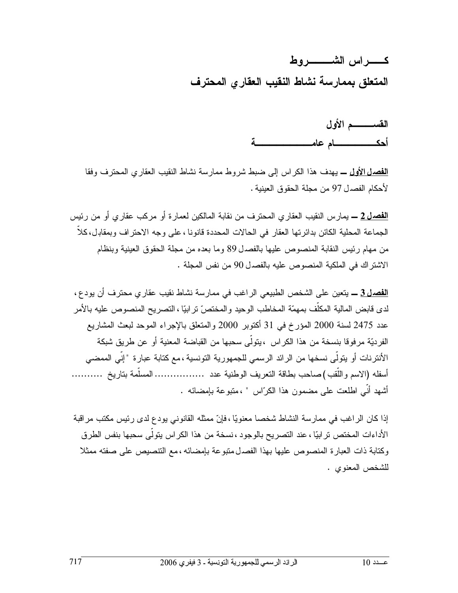كسسر اس الشيسسير وط المتعلق بممارسة نشاط النقيب العقاري المحترف

> القســـــــــم الأول أحكه المسام عام

<mark>الفصل الأولى ــ</mark> يهدف هذا الكراس إلى ضبط شروط ممارسة نشاط النقيب العقارى المحترف وفقا لأحكام الفصدل 97 من مجلة الحقوق العينية .

<mark>الفصـل 2 ــ</mark> يمـار س النقيب العقار ي المـحتر ف من نقابـة المـالكين لـعمار ة أو مركب عقار ي أو من رئيس الجماعة المحلية الكائن بدائرتها العقار في الحالات المحددة قانونا ، على وجه الاحتراف وبمقابل، كلاً من مهام رئيس النقابة المنصوص عليها بالفصدل 89 وما بعده من مجلة الحقوق العينية وبنظام الاشتر اك في الملكية المنصوص عليه بالفصدل 90 من نفس المجلة .

<mark>الفصل 3 ــ</mark> يتعين على الشخص الطبيعي الراغب في ممارسة نشاط نقيب عقارى محترف أن يودع ، لدى قابض المالية المكلُّف بمهمّة المخاطب الوحيد والمختصّ نر ابيّا ، التصريح المنصوص عليه بالأمر عدد 2475 لسنة 2000 المؤرخ في 31 أكتوبر 2000 والمتعلق بالإجراء الموحد لبعث المشاريع الفرديّة مرفوقا بنسخة من هذا الكراس ،يتولّى سحبها من القباضة المعنية أو عن طريق شبكة الأنترنات أو يتولَّى نسخها من الرائد الرسمي للجمهورية التونسية ،مع كتابة عبارة "إنِّي الممضى أسفله (الاسم و اللُّقب ) صباحب بطاقة التعريف الوطنية عدد .................. المسلَّمة بتاريخ ........... أشهد أنّي اطلعت على مضمون هذا الكرّاس " ،متبوعة بإمضائه .

إذا كان الراغب في ممارسة النشاط شخصا معنويًا ، فإنّ ممثله القانوني يودع لدى رئيس مكتب مراقبة الأداءات المختص تر ابيًّا ، عند التصريح بالوجود ، نسخة من هذا الكر اس يتولَّى سحبها بنفس الطرق وكتابة ذات العبارة المنصوص عليها بهذا الفصدل متبوعة بإمضائه ، مع التنصيص على صفته ممثلا للشخص المعنوى .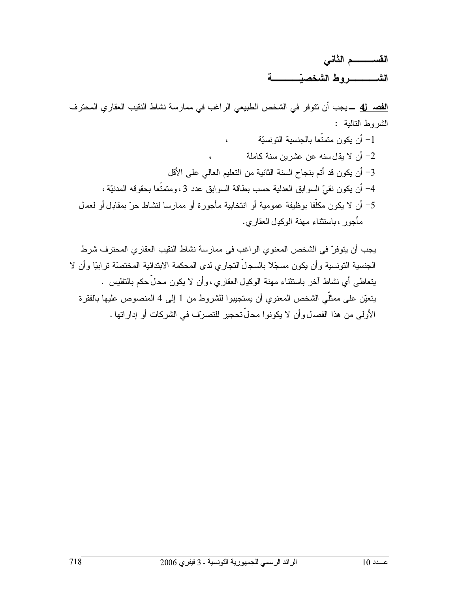القســـــــــم الثانى 

<mark>الفصـ 4</mark>ل ـــ يجب أن تتوفر في الشخص الطبيعي الر اغب في ممار سة نشاط النقيب العقار ي المحتر ف الشروط النالية : 1– أن يكون متمتّعا بالجنسية التونسيّة  $\epsilon$ أن لا يقل سنه عن عشرين سنة كاملة  $-2$ 3- أن يكون قد أتم بنجاح السنة الثانية من التعليم العالي على الأقل

4– أن يكون نقيِّ السوابق العدلية حسب بطاقة السوابق عدد 3 ، ومتمتَّعا بحقوقه المدنيَّة ، 5– أن لا يكون مكلُّفا بوظيفة عمومية أو انتخابية مأجورة أو ممارسا لنشاط حرّ بمقابل أو لعمل مأجورٍ ، باستثناء مهنة الوكدل العقاري.

يجب أن يتوفرّ في الشخص المعنوي الراغب في ممارسة نشاط النقيب العقاري المحترف شرط الجنسية التونسية و أن يكون مسجّلا بالسجلِّ التجار ي لدى المحكمة الابتدائية المختصنّة تر ابيّا و أن لا بِنعاطي أي نشاط آخر باستثناء مهنة الوكدِل العقاري، وأن لا يكون محلَّ حكم بالتفليس . يتعيّن على ممثلّي الشخص المعنوي أن يستجيبوا للشروط من 1 إلى 4 المنصوص عليها بالفقرة الأولى من هذا الفصدل وأن لا يكونوا محلِّ تحجير للتصرِّف في الشركات أو إدار اتها .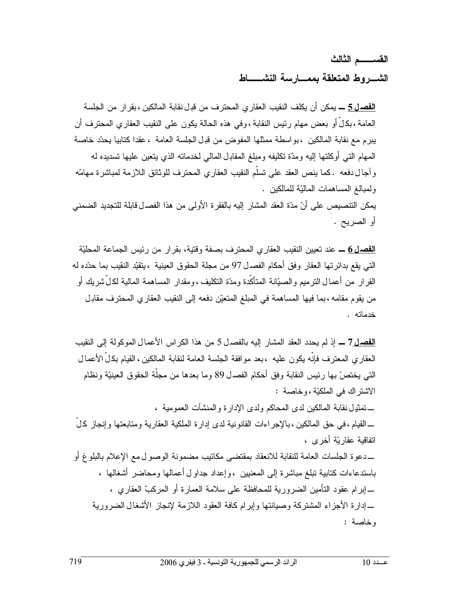القســــــم الثالث الشب وط المتعلقة بممسارسة النشبساط

<mark>الفصـل 5 ـــ</mark> يمكن أن يكلف النقيب العقار ى المحتر ف من قبـل نقابـة المالكين ، بقر ار من الجلسة العامة ،بكالٌ أو بعض مهام رئيس النقابة ،وفي هذه الحالة يكون على النقيب العقاري المحترف أن يبرم مع نقابة المالكين ،بواسطة ممثلها المفوض من قدِل الجلسة العامة ،عقدا كتابيا يحدّد خاصة المهام التبي أوكلتها إليه ومدّة نكليفه ومبلغ المقابل المالبي لخدماته الذي يتعين عليها تسديده له وآجال دفعه .كما ينص العقد على تسلَّم النقيب العقاري المحترف للوثائق اللازمة لمباشرة مهامَّه ولمبالغ المساهمات الماليّة للمالكين . يمكن النتصيص على أنّ مدّة العقد المشار إليه بالفقرة الأولى من هذا الفصدل قابلة للتجديد الضمني أو الصريح .

<mark>الفصل 6</mark> ــ عند تعيين النقيب العقاري المحترف بصفة وقتية، بقرار من رئيس الجماعة المحليّة التي يقع بدائرتها العقار وفق أحكام الفصدل 97 من مجلة الحقوق العينية ،يتقيّد النقيب بما حدّده له القرار من أعمال النرميم والصيّانة المتأكَّدة ومدَّة النكليف ،ومقدار المساهمة المالية لكلِّ شريك أو من يقوم مقامه ، بما فيها المساهمة في المبلغ المتعيّن دفعه إلى النقيب العقاري المحترف مقابل خدماته .

<mark>الفصـل7 ــ</mark> إذ لم يحدد العقد المشار إليه بالفصـل5 من هذا الكراس الأعمـال الموكولـة إلـى النقيب العقار ي المعتر ف فإنَّه يكون عليه ، بعد مو افقة الجلسة العامة لنقابة المالكين ، القيام بكلِّ الأعمال التي يختصّ بها رئيس النقابة وفق أحكام الفصدل 89 وما بعدها من مجلَّة الحقوق العينيَّة ونظام الاشتر اك في الملكيّة ، و خاصة :

ــــ تمثيـل نقابـة المالكين لدى المحاكم ولدى الإدارة والمنشآت العمومية ، ـــ القيام ، في حق المالكين ، بالإجر اءات القانونية لدى إدار ة الملكية العقارية ومتابعتها و إنجاز كل اتفاقية عقارتية أخر ي ،

ــــدعوة الجلسات العامة للنقابة للانعقاد بمقتضىي مكاتيب مضمونة الوصو ل0مع الإعلام بالبلوغ أو باستدعاءات كتابية نبلغ مباشرة إلى المعنيين ،وإعداد جداو ل أعمالها ومحاضر أشغالها ، \_ إبرام عقود النأمين الضرورية للمحافظة على سلامة العمارة أو المركبّ العقاري ، \_إدارة الأجزاء المشتركة وصيانتها وإبرام كافة العقود اللازمة لإنجاز الأشغال الضرورية وخاصة :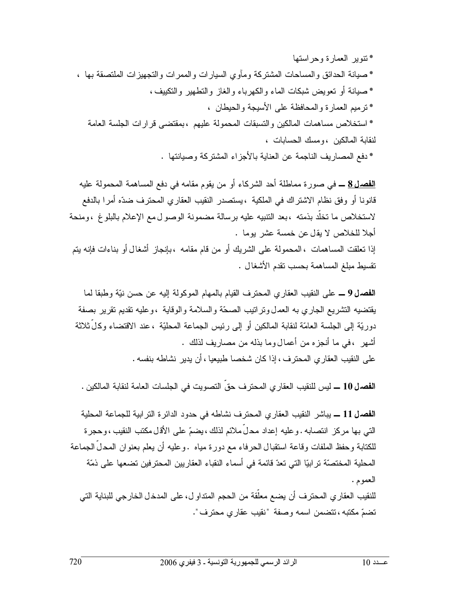\* نتوير العمارة وحراستها \* صبانة الحدائق والمساحات المشتركة ومأوى السيارات والممرات والتجهيزات الملتصقة بها ، \* صيانة أو تعويض شبكات الماء والكهرباء والغاز والتطهير والتكييف ، \* تر ميم العمار ة و المحافظة على الأسيجة و الحيطان ، \* استخلاص مساهمات المالكين والتسبقات المحمولة عليهم ،بمقتضبي قرارات الجلسة العامة لنقابة المالكين ، و مسك الحسابات ، \* دفع المصاريف الناجمة عن العناية بالأجزاء المشتركة وصبانتها .

<mark>الفصـل 8</mark> ــ في صور ة مماطلة أحد الشركاء أو من يقوم مقامه في دفع المساهمة المحمولة عليه قانونا أو وفق نظام الاشتراك في الملكية ، يستصدر النقيب العقارى المحترف ضدّه أمرا بالدفع لاستخلاص ما تخلَّد بذمته ،بعد النتبيه عليه برسالة مضمونة الوصول مع الإعلام بالبلوغ ،ومنحة أجلا للخلاص لا يقل عن خمسة عشر يوما . إذا نعلقت المساهمات ، المحمولة على الشريك أو من قام مقامه ، بإنجاز أشغال أو بناءات فإنه يتم نقسيط مبلغ المساهمة بحسب نقدم الأشغال .

ا**لفصال 9 ــ** على النقيب العقاري المحترف القيام بالمهام الموكولة إليه عن حسن نيّة وطبقا لما يقتضيه التشريع الجاري به العمل ونراتيب الصحّة والسلامة والوقاية ،وعليه تقديم تقرير بصفة دوريَّة إلى الجلسة العامَّة لنقابة المالكين أو إلى رئيس الجماعة المحليَّة ، عند الاقتضاء وكلِّ ثلاثة أشهر ، في ما أنجز ه من أعمال وما بذله من مصار بف لذلك . على النقيب العقار ي المحترف ، إذا كان شخصا طبيعيا ، أن يدير نشاطه بنفسه .

الفصرل 10 ــــ ليس للنقيب العقاري المحترف حق النصويت في الجلسات العامة لنقابة المالكين .

الفصل 11 ـــ يباشر النقيب العقاري المحترف نشاطه في حدود الدائرة الترابية للجماعة المحلية التي بها مركز انتصابه . وعليه إعداد محلَّ ملائم لذلك ، يضمَّ على الأقلَّ مكتب النقيب ، وحجرة للكتابة وحفظ الملفات وقاعة استقبال الحرفاء مع دورة مياه .وعليه أن يعلم بعنوان المحلِّ الجماعة المحلية المختصنّة تر ابيّا التي تعدّ قائمة في أسماء النقباء العقار بين المحتر فين تضعها على ذمّة العمو م .

للنقيب العقار ي المحتر ف أن يضع معلَّقة من الحجم المتداو ل، على المدخل الخار جي للبناية التي تضمّ مكتبه ، تتضمن اسمه وصفة "نقيب عقارى محترف".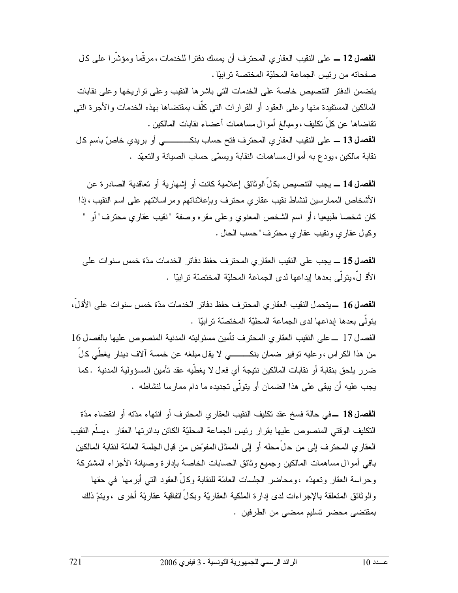الفصل 12 ــ على النقيب العقار ي المحتر ف أن يمسك دفتر ا للخدمات ، مر قُما و مؤشَّر ا على كل صفحاته من رئيس الجماعة المحليّة المختصة ترابيّا . يتضمن الدفتر التتصيص خاصة على الخدمات التي باشرها النقيب وعلى تواريخها وعلى نقابات المالكين المستفيدة منها وعلى العقود أو القرارات التي كلَّف بمقتضاها بهذه الخدمات والأجرة التي نقاضاها عن كلِّ نكليف ،ومبالغ أموال مساهمات أعضاء نقابات المالكين . ا**لفصال 13 ــ** على النقيب العقاري المحترف فتح حساب بنكــــــــــــى أو بريدي خاصّ باسم كل نقابة مالكين ، بودع به أموال مساهمات النقابة ويسمّى حساب الصيانة والتعهّد .

ا**لفصـل 14 ــ**ـ يجب التتصبص بكـلِّ الو ثائق إعلامية كانت أو إشـهار ية أو تعاقدية الصـادر ة عن الأشخاص الممارسين لنشاط نقيب عقاري محترف وبإعلاناتهم ومراسلاتهم على اسم النقيب ، إذا كان شخصـا طبيعيا ، أو اسم الشخص المعنوي وعلـى مقره وصفة "نقيب عقاري محترف" أو " وكيل عقاري ونقيب عقاري محترف "حسب الحال .

ا**لفصال 15 ــ** يجب على النقيب العقار ي المحترف حفظ دفاتر الخدمات مدّة خمس سنوات على الأَق لِّ،بِتولِّي بعدها ابداعها لدى الجماعة المحلبّة المختصّة تر اببًا .

ا**لفصـل 16 ـــ** يتحمـل النقيب العقار ي المحتر ف حفظ دفاتر الخدمات مدّة خمس سنو ات علي الأقـل، يتولى بعدها إبداعها لدى الجماعة المحليّة المختصّة تر ابيّا . الفصدل 17 ــ على النقيب العقاري المحترف تأمين مسئوليته المدنية المنصوص عليها بالفصدل 16 من هذا الكر اس ، وعليه توفير ضمان بنكـــــــــى لا يقل مبلغه عن خمسة آلاف دينار يغطَّى كلَّ ضرر يلحق بنقابة أو نقابات المالكين نتيجة أي فعل لا يغطِّيه عقد تأمين المسؤولية المدنية .كما يجب عليه أن يبقى على هذا الضمان أو يتولَّى تجديده ما دام ممارسا لنشاطه .

الفصل18 ــفي حالة فسخ عقد تكليف النقيب العقاري المحترف أو انتهاء مدّته أو انقضاء مدّة التكليف الوقتي المنصوص عليها بقرار رئيس الجماعة المحليّة الكائن بدائرتها العقار ، يسلّم النقيب العقاري المحترف إلى من حلٍّ محله أو إلى الممثل المفوّض من قدل الجلسة العامّة لنقابة المالكين باقبى أموال مساهمات المالكين وجميع وثائق الحسابات الخاصة بإدارة وصبانة الأجزاء المشتركة وحراسة العقار وتعهدّه ،ومحاضر الجلسات العامّة للنقابة وكالّ العقود التبي أبرمها في حقها والوثائق المتعلقة بالإجراءات لدى إدارة الملكية العقاريّة وبكلِّ اتفاقية عقاريّة أخرى ،ويتمّ ذلك بمقتضى محضر نسليم ممضىي من الطرفين .